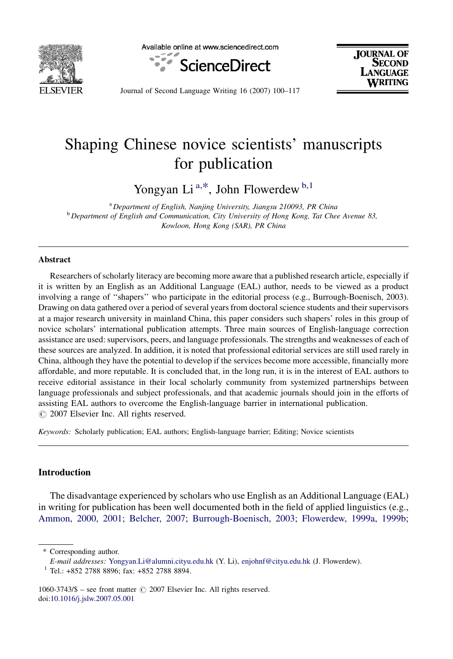

Available online at www.sciencedirect.com



**JOURNAL OF SECOND** LANGUAGE **WRITING** 

Journal of Second Language Writing 16 (2007) 100–117

# Shaping Chinese novice scientists' manuscripts for publication

Yongyan Li<sup>a,\*</sup>, John Flowerdew<sup>b,1</sup>

<sup>a</sup> Department of English, Nanjing University, Jiangsu 210093, PR China <sup>b</sup> Department of English and Communication, City University of Hong Kong, Tat Chee Avenue 83, Kowloon, Hong Kong (SAR), PR China

#### **Abstract**

Researchers of scholarly literacy are becoming more aware that a published research article, especially if it is written by an English as an Additional Language (EAL) author, needs to be viewed as a product involving a range of ''shapers'' who participate in the editorial process (e.g., Burrough-Boenisch, 2003). Drawing on data gathered over a period of several years from doctoral science students and their supervisors at a major research university in mainland China, this paper considers such shapers' roles in this group of novice scholars' international publication attempts. Three main sources of English-language correction assistance are used: supervisors, peers, and language professionals. The strengths and weaknesses of each of these sources are analyzed. In addition, it is noted that professional editorial services are still used rarely in China, although they have the potential to develop if the services become more accessible, financially more affordable, and more reputable. It is concluded that, in the long run, it is in the interest of EAL authors to receive editorial assistance in their local scholarly community from systemized partnerships between language professionals and subject professionals, and that academic journals should join in the efforts of assisting EAL authors to overcome the English-language barrier in international publication.  $\circ$  2007 Elsevier Inc. All rights reserved.

Keywords: Scholarly publication; EAL authors; English-language barrier; Editing; Novice scientists

### Introduction

The disadvantage experienced by scholars who use English as an Additional Language (EAL) in writing for publication has been well documented both in the field of applied linguistics (e.g., [Ammon, 2000, 2001; Belcher, 2007; Burrough-Boenisch, 2003; Flowerdew, 1999a, 1999b;](#page-15-0)

\* Corresponding author.

 $1060-3743/\$ S – see front matter  $\odot$  2007 Elsevier Inc. All rights reserved. doi[:10.1016/j.jslw.2007.05.001](http://dx.doi.org/10.1016/j.jslw.2007.05.001)

E-mail addresses: [Yongyan.Li@alumni.cityu.edu.hk](mailto:Yongyan.Li@alumni.cityu.edu.hk) (Y. Li), [enjohnf@cityu.edu.hk](mailto:enjohnf@cityu.edu.hk) (J. Flowerdew). <sup>1</sup> Tel.: +852 2788 8896; fax: +852 2788 8894.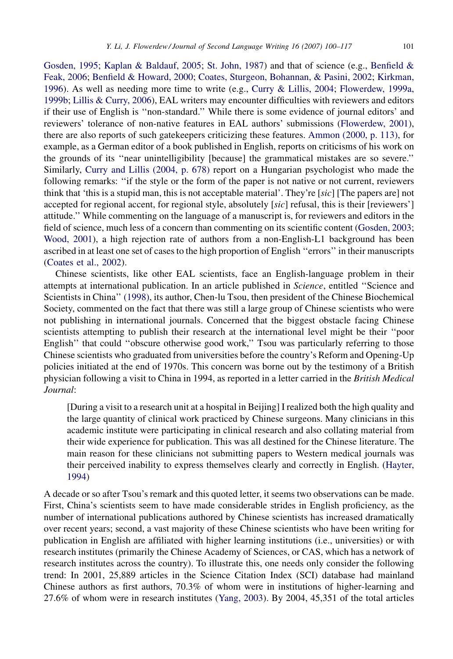[Gosden, 1995](#page-15-0); [Kaplan & Baldauf, 2005](#page-15-0); [St. John, 1987\)](#page-16-0) and that of science (e.g., [Benfield &](#page-15-0) [Feak, 2006;](#page-15-0) [Benfield & Howard, 2000;](#page-15-0) [Coates, Sturgeon, Bohannan, & Pasini, 2002](#page-15-0); [Kirkman,](#page-16-0) [1996](#page-16-0)). As well as needing more time to write (e.g., [Curry & Lillis, 2004](#page-15-0); [Flowerdew, 1999a,](#page-15-0) [1999b](#page-15-0); [Lillis & Curry, 2006\)](#page-16-0), EAL writers may encounter difficulties with reviewers and editors if their use of English is ''non-standard.'' While there is some evidence of journal editors' and reviewers' tolerance of non-native features in EAL authors' submissions ([Flowerdew, 2001](#page-15-0)), there are also reports of such gatekeepers criticizing these features. [Ammon \(2000, p. 113\)](#page-15-0), for example, as a German editor of a book published in English, reports on criticisms of his work on the grounds of its ''near unintelligibility [because] the grammatical mistakes are so severe.'' Similarly, [Curry and Lillis \(2004, p. 678\)](#page-15-0) report on a Hungarian psychologist who made the following remarks: ''if the style or the form of the paper is not native or not current, reviewers think that 'this is a stupid man, this is not acceptable material'. They're [sic] [The papers are] not accepted for regional accent, for regional style, absolutely [sic] refusal, this is their [reviewers'] attitude.'' While commenting on the language of a manuscript is, for reviewers and editors in the field of science, much less of a concern than commenting on its scientific content [\(Gosden, 2003;](#page-15-0) [Wood, 2001\)](#page-15-0), a high rejection rate of authors from a non-English-L1 background has been ascribed in at least one set of cases to the high proportion of English ''errors'' in their manuscripts ([Coates et al., 2002](#page-15-0)).

Chinese scientists, like other EAL scientists, face an English-language problem in their attempts at international publication. In an article published in Science, entitled ''Science and Scientists in China'' [\(1998\)](#page-16-0), its author, Chen-lu Tsou, then president of the Chinese Biochemical Society, commented on the fact that there was still a large group of Chinese scientists who were not publishing in international journals. Concerned that the biggest obstacle facing Chinese scientists attempting to publish their research at the international level might be their ''poor English'' that could ''obscure otherwise good work,'' Tsou was particularly referring to those Chinese scientists who graduated from universities before the country's Reform and Opening-Up policies initiated at the end of 1970s. This concern was borne out by the testimony of a British physician following a visit to China in 1994, as reported in a letter carried in the British Medical Journal:

[During a visit to a research unit at a hospital in Beijing] I realized both the high quality and the large quantity of clinical work practiced by Chinese surgeons. Many clinicians in this academic institute were participating in clinical research and also collating material from their wide experience for publication. This was all destined for the Chinese literature. The main reason for these clinicians not submitting papers to Western medical journals was their perceived inability to express themselves clearly and correctly in English. [\(Hayter,](#page-15-0) [1994](#page-15-0))

A decade or so after Tsou's remark and this quoted letter, it seems two observations can be made. First, China's scientists seem to have made considerable strides in English proficiency, as the number of international publications authored by Chinese scientists has increased dramatically over recent years; second, a vast majority of these Chinese scientists who have been writing for publication in English are affiliated with higher learning institutions (i.e., universities) or with research institutes (primarily the Chinese Academy of Sciences, or CAS, which has a network of research institutes across the country). To illustrate this, one needs only consider the following trend: In 2001, 25,889 articles in the Science Citation Index (SCI) database had mainland Chinese authors as first authors, 70.3% of whom were in institutions of higher-learning and 27.6% of whom were in research institutes ([Yang, 2003\)](#page-16-0). By 2004, 45,351 of the total articles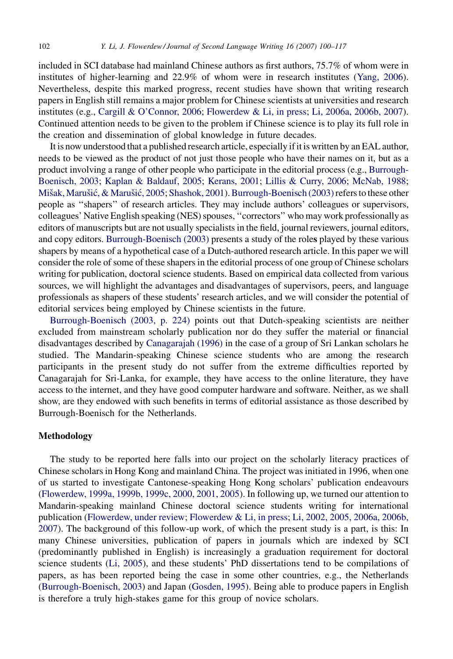included in SCI database had mainland Chinese authors as first authors, 75.7% of whom were in institutes of higher-learning and 22.9% of whom were in research institutes ([Yang, 2006](#page-16-0)). Nevertheless, despite this marked progress, recent studies have shown that writing research papers in English still remains a major problem for Chinese scientists at universities and research institutes (e.g., [Cargill & O'Connor, 2006](#page-15-0); [Flowerdew & Li, in press;](#page-15-0) [Li, 2006a, 2006b, 2007](#page-16-0)). Continued attention needs to be given to the problem if Chinese science is to play its full role in the creation and dissemination of global knowledge in future decades.

It is now understood that a published research article, especially if it is written by an EAL author, needs to be viewed as the product of not just those people who have their names on it, but as a product involving a range of other people who participate in the editorial process (e.g., [Burrough-](#page-15-0)[Boenisch, 2003](#page-15-0); [Kaplan & Baldauf, 2005;](#page-15-0) [Kerans, 2001](#page-16-0); [Lillis & Curry, 2006;](#page-16-0) [McNab, 1988](#page-16-0); Mišak, Marušić, & Marušić, 2005; [Shashok, 2001\)](#page-16-0). [Burrough-Boenisch \(2003\)](#page-15-0) refers to these other people as ''shapers'' of research articles. They may include authors' colleagues or supervisors, colleagues' Native English speaking (NES) spouses, ''correctors'' who may work professionally as editors of manuscripts but are not usually specialists in the field, journal reviewers, journal editors, and copy editors. [Burrough-Boenisch \(2003\)](#page-15-0) presents a study of the roles played by these various shapers by means of a hypothetical case of a Dutch-authored research article. In this paper we will consider the role of some of these shapers in the editorial process of one group of Chinese scholars writing for publication, doctoral science students. Based on empirical data collected from various sources, we will highlight the advantages and disadvantages of supervisors, peers, and language professionals as shapers of these students' research articles, and we will consider the potential of editorial services being employed by Chinese scientists in the future.

[Burrough-Boenisch \(2003, p. 224\)](#page-15-0) points out that Dutch-speaking scientists are neither excluded from mainstream scholarly publication nor do they suffer the material or financial disadvantages described by [Canagarajah \(1996\)](#page-15-0) in the case of a group of Sri Lankan scholars he studied. The Mandarin-speaking Chinese science students who are among the research participants in the present study do not suffer from the extreme difficulties reported by Canagarajah for Sri-Lanka, for example, they have access to the online literature, they have access to the internet, and they have good computer hardware and software. Neither, as we shall show, are they endowed with such benefits in terms of editorial assistance as those described by Burrough-Boenisch for the Netherlands.

#### Methodology

The study to be reported here falls into our project on the scholarly literacy practices of Chinese scholars in Hong Kong and mainland China. The project was initiated in 1996, when one of us started to investigate Cantonese-speaking Hong Kong scholars' publication endeavours [\(Flowerdew, 1999a, 1999b, 1999c, 2000, 2001, 2005\)](#page-15-0). In following up, we turned our attention to Mandarin-speaking mainland Chinese doctoral science students writing for international publication [\(Flowerdew, under review;](#page-15-0) [Flowerdew & Li, in press](#page-15-0); [Li, 2002, 2005, 2006a, 2006b,](#page-16-0) [2007\)](#page-16-0). The background of this follow-up work, of which the present study is a part, is this: In many Chinese universities, publication of papers in journals which are indexed by SCI (predominantly published in English) is increasingly a graduation requirement for doctoral science students [\(Li, 2005](#page-16-0)), and these students' PhD dissertations tend to be compilations of papers, as has been reported being the case in some other countries, e.g., the Netherlands [\(Burrough-Boenisch, 2003\)](#page-15-0) and Japan [\(Gosden, 1995\)](#page-15-0). Being able to produce papers in English is therefore a truly high-stakes game for this group of novice scholars.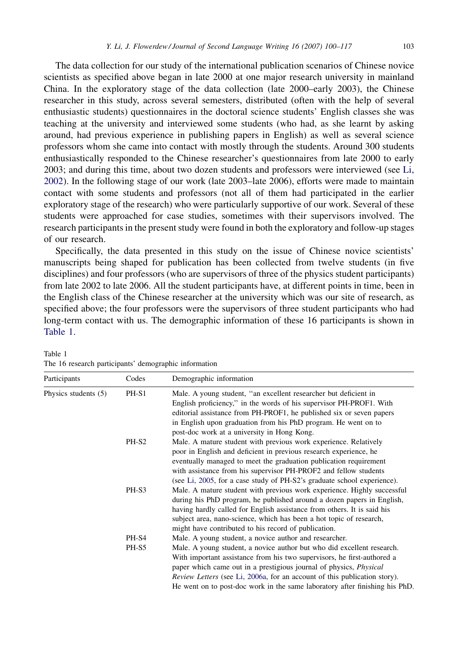The data collection for our study of the international publication scenarios of Chinese novice scientists as specified above began in late 2000 at one major research university in mainland China. In the exploratory stage of the data collection (late 2000–early 2003), the Chinese researcher in this study, across several semesters, distributed (often with the help of several enthusiastic students) questionnaires in the doctoral science students' English classes she was teaching at the university and interviewed some students (who had, as she learnt by asking around, had previous experience in publishing papers in English) as well as several science professors whom she came into contact with mostly through the students. Around 300 students enthusiastically responded to the Chinese researcher's questionnaires from late 2000 to early 2003; and during this time, about two dozen students and professors were interviewed (see [Li,](#page-16-0) [2002](#page-16-0)). In the following stage of our work (late 2003–late 2006), efforts were made to maintain contact with some students and professors (not all of them had participated in the earlier exploratory stage of the research) who were particularly supportive of our work. Several of these students were approached for case studies, sometimes with their supervisors involved. The research participants in the present study were found in both the exploratory and follow-up stages of our research.

Specifically, the data presented in this study on the issue of Chinese novice scientists' manuscripts being shaped for publication has been collected from twelve students (in five disciplines) and four professors (who are supervisors of three of the physics student participants) from late 2002 to late 2006. All the student participants have, at different points in time, been in the English class of the Chinese researcher at the university which was our site of research, as specified above; the four professors were the supervisors of three student participants who had long-term contact with us. The demographic information of these 16 participants is shown in Table 1.

| Participants         | Codes | Demographic information                                                                                                                                                                                                                                                                                                                                                                           |  |
|----------------------|-------|---------------------------------------------------------------------------------------------------------------------------------------------------------------------------------------------------------------------------------------------------------------------------------------------------------------------------------------------------------------------------------------------------|--|
| Physics students (5) | PH-S1 | Male. A young student, "an excellent researcher but deficient in<br>English proficiency," in the words of his supervisor PH-PROF1. With<br>editorial assistance from PH-PROF1, he published six or seven papers<br>in English upon graduation from his PhD program. He went on to<br>post-doc work at a university in Hong Kong.                                                                  |  |
|                      | PH-S2 | Male. A mature student with previous work experience. Relatively<br>poor in English and deficient in previous research experience, he<br>eventually managed to meet the graduation publication requirement<br>with assistance from his supervisor PH-PROF2 and fellow students<br>(see Li, 2005, for a case study of PH-S2's graduate school experience).                                         |  |
|                      | PH-S3 | Male. A mature student with previous work experience. Highly successful<br>during his PhD program, he published around a dozen papers in English,<br>having hardly called for English assistance from others. It is said his<br>subject area, nano-science, which has been a hot topic of research,<br>might have contributed to his record of publication.                                       |  |
|                      | PH-S4 | Male. A young student, a novice author and researcher.                                                                                                                                                                                                                                                                                                                                            |  |
|                      | PH-S5 | Male. A young student, a novice author but who did excellent research.<br>With important assistance from his two supervisors, he first-authored a<br>paper which came out in a prestigious journal of physics, <i>Physical</i><br><i>Review Letters</i> (see Li, 2006a, for an account of this publication story).<br>He went on to post-doc work in the same laboratory after finishing his PhD. |  |

Table 1 The 16 research participants' demographic information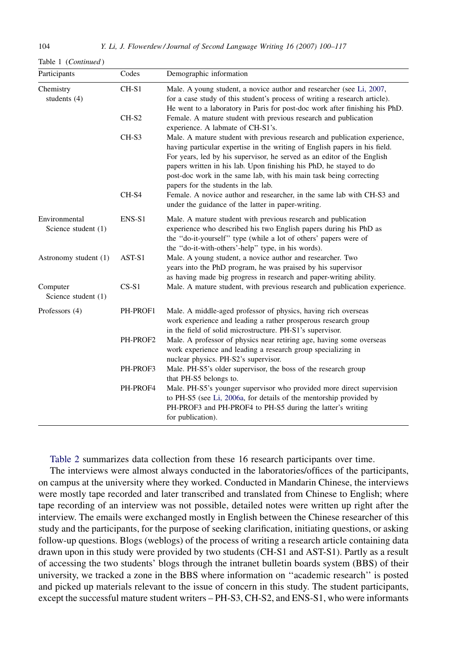|  | Table 1 (Continued) |
|--|---------------------|
|--|---------------------|

| Participants                               | Codes          | Demographic information                                                                                                                                                                                                                                                                                                                                                                                                                                                                         |  |
|--------------------------------------------|----------------|-------------------------------------------------------------------------------------------------------------------------------------------------------------------------------------------------------------------------------------------------------------------------------------------------------------------------------------------------------------------------------------------------------------------------------------------------------------------------------------------------|--|
| Chemistry<br>students $(4)$                | $CH-S1$        | Male. A young student, a novice author and researcher (see Li, 2007,<br>for a case study of this student's process of writing a research article).<br>He went to a laboratory in Paris for post-doc work after finishing his PhD.                                                                                                                                                                                                                                                               |  |
|                                            | $CH-S2$        | Female. A mature student with previous research and publication<br>experience. A labmate of CH-S1's.                                                                                                                                                                                                                                                                                                                                                                                            |  |
|                                            | CH-S3<br>CH-S4 | Male. A mature student with previous research and publication experience,<br>having particular expertise in the writing of English papers in his field.<br>For years, led by his supervisor, he served as an editor of the English<br>papers written in his lab. Upon finishing his PhD, he stayed to do<br>post-doc work in the same lab, with his main task being correcting<br>papers for the students in the lab.<br>Female. A novice author and researcher, in the same lab with CH-S3 and |  |
|                                            |                | under the guidance of the latter in paper-writing.                                                                                                                                                                                                                                                                                                                                                                                                                                              |  |
| Environmental<br>Science student (1)       | $ENS-S1$       | Male. A mature student with previous research and publication<br>experience who described his two English papers during his PhD as<br>the "do-it-yourself" type (while a lot of others' papers were of<br>the "do-it-with-others'-help" type, in his words).<br>Male. A young student, a novice author and researcher. Two<br>years into the PhD program, he was praised by his supervisor<br>as having made big progress in research and paper-writing ability.                                |  |
| Astronomy student (1)                      | $AST-S1$       |                                                                                                                                                                                                                                                                                                                                                                                                                                                                                                 |  |
| $CS-S1$<br>Computer<br>Science student (1) |                | Male. A mature student, with previous research and publication experience.                                                                                                                                                                                                                                                                                                                                                                                                                      |  |
| Professors (4)                             | PH-PROF1       | Male. A middle-aged professor of physics, having rich overseas<br>work experience and leading a rather prosperous research group<br>in the field of solid microstructure. PH-S1's supervisor.                                                                                                                                                                                                                                                                                                   |  |
|                                            | PH-PROF2       | Male. A professor of physics near retiring age, having some overseas<br>work experience and leading a research group specializing in<br>nuclear physics. PH-S2's supervisor.                                                                                                                                                                                                                                                                                                                    |  |
|                                            | PH-PROF3       | Male. PH-S5's older supervisor, the boss of the research group<br>that PH-S5 belongs to.                                                                                                                                                                                                                                                                                                                                                                                                        |  |
|                                            | PH-PROF4       | Male. PH-S5's younger supervisor who provided more direct supervision<br>to PH-S5 (see Li, 2006a, for details of the mentorship provided by<br>PH-PROF3 and PH-PROF4 to PH-S5 during the latter's writing<br>for publication).                                                                                                                                                                                                                                                                  |  |

[Table 2](#page-5-0) summarizes data collection from these 16 research participants over time.

The interviews were almost always conducted in the laboratories/offices of the participants, on campus at the university where they worked. Conducted in Mandarin Chinese, the interviews were mostly tape recorded and later transcribed and translated from Chinese to English; where tape recording of an interview was not possible, detailed notes were written up right after the interview. The emails were exchanged mostly in English between the Chinese researcher of this study and the participants, for the purpose of seeking clarification, initiating questions, or asking follow-up questions. Blogs (weblogs) of the process of writing a research article containing data drawn upon in this study were provided by two students (CH-S1 and AST-S1). Partly as a result of accessing the two students' blogs through the intranet bulletin boards system (BBS) of their university, we tracked a zone in the BBS where information on ''academic research'' is posted and picked up materials relevant to the issue of concern in this study. The student participants, except the successful mature student writers – PH-S3, CH-S2, and ENS-S1, who were informants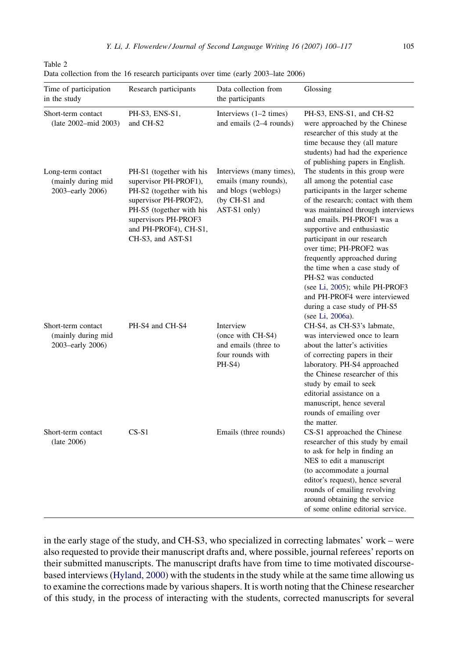| Time of participation<br>in the study                        | Research participants                                                                                                                                                                                    | Data collection from<br>the participants                                                                  | Glossing                                                                                                                                                                                                                                                                                                                                                                                                                                                                                                              |
|--------------------------------------------------------------|----------------------------------------------------------------------------------------------------------------------------------------------------------------------------------------------------------|-----------------------------------------------------------------------------------------------------------|-----------------------------------------------------------------------------------------------------------------------------------------------------------------------------------------------------------------------------------------------------------------------------------------------------------------------------------------------------------------------------------------------------------------------------------------------------------------------------------------------------------------------|
| Short-term contact<br>(late 2002–mid 2003)                   | PH-S3, ENS-S1,<br>and CH-S2                                                                                                                                                                              | Interviews $(1-2 \times)$<br>and emails $(2-4$ rounds)                                                    | PH-S3, ENS-S1, and CH-S2<br>were approached by the Chinese<br>researcher of this study at the<br>time because they (all mature<br>students) had had the experience<br>of publishing papers in English.                                                                                                                                                                                                                                                                                                                |
| Long-term contact<br>(mainly during mid<br>2003-early 2006)  | PH-S1 (together with his<br>supervisor PH-PROF1),<br>PH-S2 (together with his<br>supervisor PH-PROF2),<br>PH-S5 (together with his<br>supervisors PH-PROF3<br>and PH-PROF4), CH-S1,<br>CH-S3, and AST-S1 | Interviews (many times),<br>emails (many rounds),<br>and blogs (weblogs)<br>(by CH-S1 and<br>AST-S1 only) | The students in this group were<br>all among the potential case<br>participants in the larger scheme<br>of the research; contact with them<br>was maintained through interviews<br>and emails. PH-PROF1 was a<br>supportive and enthusiastic<br>participant in our research<br>over time; PH-PROF2 was<br>frequently approached during<br>the time when a case study of<br>PH-S2 was conducted<br>(see Li, 2005); while PH-PROF3<br>and PH-PROF4 were interviewed<br>during a case study of PH-S5<br>(see Li, 2006a). |
| Short-term contact<br>(mainly during mid<br>2003-early 2006) | PH-S4 and CH-S4                                                                                                                                                                                          | Interview<br>(once with CH-S4)<br>and emails (three to<br>four rounds with<br>PH-S4)                      | CH-S4, as CH-S3's labmate,<br>was interviewed once to learn<br>about the latter's activities<br>of correcting papers in their<br>laboratory. PH-S4 approached<br>the Chinese researcher of this<br>study by email to seek<br>editorial assistance on a<br>manuscript, hence several<br>rounds of emailing over<br>the matter.                                                                                                                                                                                         |
| Short-term contact<br>(late 2006)                            | $CS-S1$                                                                                                                                                                                                  | Emails (three rounds)                                                                                     | CS-S1 approached the Chinese<br>researcher of this study by email<br>to ask for help in finding an<br>NES to edit a manuscript<br>(to accommodate a journal<br>editor's request), hence several<br>rounds of emailing revolving<br>around obtaining the service<br>of some online editorial service.                                                                                                                                                                                                                  |

<span id="page-5-0"></span>Table 2 Data collection from the 16 research participants over time (early 2003–late 2006)

in the early stage of the study, and CH-S3, who specialized in correcting labmates' work – were also requested to provide their manuscript drafts and, where possible, journal referees' reports on their submitted manuscripts. The manuscript drafts have from time to time motivated discoursebased interviews ([Hyland, 2000\)](#page-15-0) with the students in the study while at the same time allowing us to examine the corrections made by various shapers. It is worth noting that the Chinese researcher of this study, in the process of interacting with the students, corrected manuscripts for several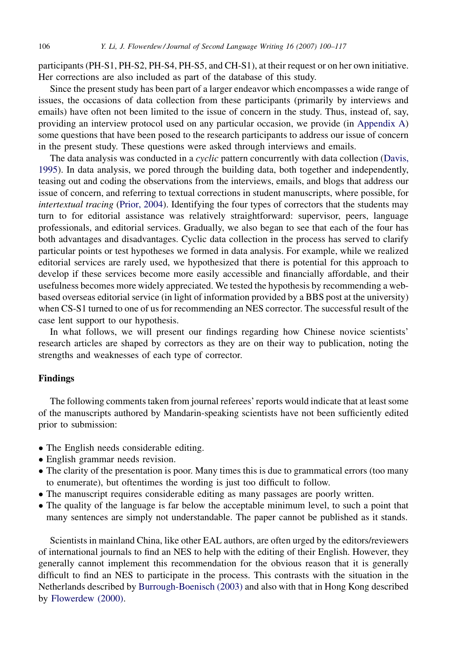participants (PH-S1, PH-S2, PH-S4, PH-S5, and CH-S1), at their request or on her own initiative. Her corrections are also included as part of the database of this study.

Since the present study has been part of a larger endeavor which encompasses a wide range of issues, the occasions of data collection from these participants (primarily by interviews and emails) have often not been limited to the issue of concern in the study. Thus, instead of, say, providing an interview protocol used on any particular occasion, we provide (in [Appendix A\)](#page-16-0) some questions that have been posed to the research participants to address our issue of concern in the present study. These questions were asked through interviews and emails.

The data analysis was conducted in a cyclic pattern concurrently with data collection ([Davis,](#page-15-0) [1995\)](#page-15-0). In data analysis, we pored through the building data, both together and independently, teasing out and coding the observations from the interviews, emails, and blogs that address our issue of concern, and referring to textual corrections in student manuscripts, where possible, for intertextual tracing ([Prior, 2004](#page-16-0)). Identifying the four types of correctors that the students may turn to for editorial assistance was relatively straightforward: supervisor, peers, language professionals, and editorial services. Gradually, we also began to see that each of the four has both advantages and disadvantages. Cyclic data collection in the process has served to clarify particular points or test hypotheses we formed in data analysis. For example, while we realized editorial services are rarely used, we hypothesized that there is potential for this approach to develop if these services become more easily accessible and financially affordable, and their usefulness becomes more widely appreciated. We tested the hypothesis by recommending a webbased overseas editorial service (in light of information provided by a BBS post at the university) when CS-S1 turned to one of us for recommending an NES corrector. The successful result of the case lent support to our hypothesis.

In what follows, we will present our findings regarding how Chinese novice scientists' research articles are shaped by correctors as they are on their way to publication, noting the strengths and weaknesses of each type of corrector.

### Findings

The following comments taken from journal referees' reports would indicate that at least some of the manuscripts authored by Mandarin-speaking scientists have not been sufficiently edited prior to submission:

- The English needs considerable editing.
- English grammar needs revision.
- The clarity of the presentation is poor. Many times this is due to grammatical errors (too many to enumerate), but oftentimes the wording is just too difficult to follow.
- The manuscript requires considerable editing as many passages are poorly written.
- The quality of the language is far below the acceptable minimum level, to such a point that many sentences are simply not understandable. The paper cannot be published as it stands.

Scientists in mainland China, like other EAL authors, are often urged by the editors/reviewers of international journals to find an NES to help with the editing of their English. However, they generally cannot implement this recommendation for the obvious reason that it is generally difficult to find an NES to participate in the process. This contrasts with the situation in the Netherlands described by [Burrough-Boenisch \(2003\)](#page-15-0) and also with that in Hong Kong described by [Flowerdew \(2000\)](#page-15-0).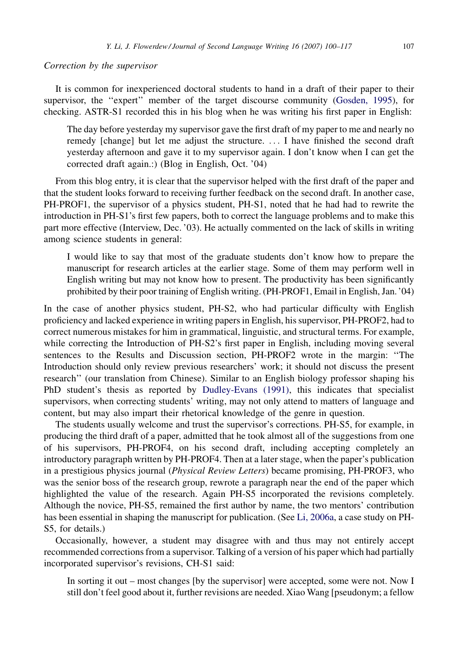Correction by the supervisor

It is common for inexperienced doctoral students to hand in a draft of their paper to their supervisor, the "expert" member of the target discourse community [\(Gosden, 1995](#page-15-0)), for checking. ASTR-S1 recorded this in his blog when he was writing his first paper in English:

The day before yesterday my supervisor gave the first draft of my paper to me and nearly no remedy [change] but let me adjust the structure. ... I have finished the second draft yesterday afternoon and gave it to my supervisor again. I don't know when I can get the corrected draft again.:) (Blog in English, Oct. '04)

From this blog entry, it is clear that the supervisor helped with the first draft of the paper and that the student looks forward to receiving further feedback on the second draft. In another case, PH-PROF1, the supervisor of a physics student, PH-S1, noted that he had had to rewrite the introduction in PH-S1's first few papers, both to correct the language problems and to make this part more effective (Interview, Dec. '03). He actually commented on the lack of skills in writing among science students in general:

I would like to say that most of the graduate students don't know how to prepare the manuscript for research articles at the earlier stage. Some of them may perform well in English writing but may not know how to present. The productivity has been significantly prohibited by their poor training of English writing. (PH-PROF1, Email in English, Jan. '04)

In the case of another physics student, PH-S2, who had particular difficulty with English proficiency and lacked experience in writing papers in English, his supervisor, PH-PROF2, had to correct numerous mistakes for him in grammatical, linguistic, and structural terms. For example, while correcting the Introduction of PH-S2's first paper in English, including moving several sentences to the Results and Discussion section, PH-PROF2 wrote in the margin: ''The Introduction should only review previous researchers' work; it should not discuss the present research'' (our translation from Chinese). Similar to an English biology professor shaping his PhD student's thesis as reported by [Dudley-Evans \(1991\),](#page-15-0) this indicates that specialist supervisors, when correcting students' writing, may not only attend to matters of language and content, but may also impart their rhetorical knowledge of the genre in question.

The students usually welcome and trust the supervisor's corrections. PH-S5, for example, in producing the third draft of a paper, admitted that he took almost all of the suggestions from one of his supervisors, PH-PROF4, on his second draft, including accepting completely an introductory paragraph written by PH-PROF4. Then at a later stage, when the paper's publication in a prestigious physics journal (Physical Review Letters) became promising, PH-PROF3, who was the senior boss of the research group, rewrote a paragraph near the end of the paper which highlighted the value of the research. Again PH-S5 incorporated the revisions completely. Although the novice, PH-S5, remained the first author by name, the two mentors' contribution has been essential in shaping the manuscript for publication. (See [Li, 2006a](#page-16-0), a case study on PH-S5, for details.)

Occasionally, however, a student may disagree with and thus may not entirely accept recommended corrections from a supervisor. Talking of a version of his paper which had partially incorporated supervisor's revisions, CH-S1 said:

In sorting it out – most changes [by the supervisor] were accepted, some were not. Now I still don't feel good about it, further revisions are needed. Xiao Wang [pseudonym; a fellow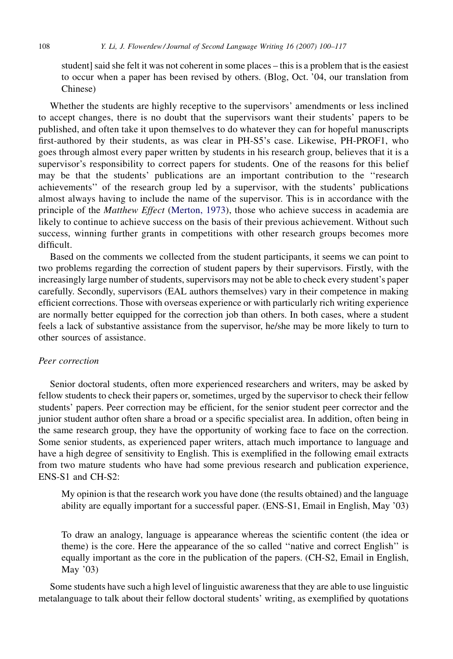student] said she felt it was not coherent in some places – this is a problem that is the easiest to occur when a paper has been revised by others. (Blog, Oct. '04, our translation from Chinese)

Whether the students are highly receptive to the supervisors' amendments or less inclined to accept changes, there is no doubt that the supervisors want their students' papers to be published, and often take it upon themselves to do whatever they can for hopeful manuscripts first-authored by their students, as was clear in PH-S5's case. Likewise, PH-PROF1, who goes through almost every paper written by students in his research group, believes that it is a supervisor's responsibility to correct papers for students. One of the reasons for this belief may be that the students' publications are an important contribution to the ''research achievements'' of the research group led by a supervisor, with the students' publications almost always having to include the name of the supervisor. This is in accordance with the principle of the Matthew Effect ([Merton, 1973](#page-16-0)), those who achieve success in academia are likely to continue to achieve success on the basis of their previous achievement. Without such success, winning further grants in competitions with other research groups becomes more difficult.

Based on the comments we collected from the student participants, it seems we can point to two problems regarding the correction of student papers by their supervisors. Firstly, with the increasingly large number of students, supervisors may not be able to check every student's paper carefully. Secondly, supervisors (EAL authors themselves) vary in their competence in making efficient corrections. Those with overseas experience or with particularly rich writing experience are normally better equipped for the correction job than others. In both cases, where a student feels a lack of substantive assistance from the supervisor, he/she may be more likely to turn to other sources of assistance.

### Peer correction

Senior doctoral students, often more experienced researchers and writers, may be asked by fellow students to check their papers or, sometimes, urged by the supervisor to check their fellow students' papers. Peer correction may be efficient, for the senior student peer corrector and the junior student author often share a broad or a specific specialist area. In addition, often being in the same research group, they have the opportunity of working face to face on the correction. Some senior students, as experienced paper writers, attach much importance to language and have a high degree of sensitivity to English. This is exemplified in the following email extracts from two mature students who have had some previous research and publication experience, ENS-S1 and CH-S2:

My opinion is that the research work you have done (the results obtained) and the language ability are equally important for a successful paper. (ENS-S1, Email in English, May '03)

To draw an analogy, language is appearance whereas the scientific content (the idea or theme) is the core. Here the appearance of the so called ''native and correct English'' is equally important as the core in the publication of the papers. (CH-S2, Email in English, May '03)

Some students have such a high level of linguistic awareness that they are able to use linguistic metalanguage to talk about their fellow doctoral students' writing, as exemplified by quotations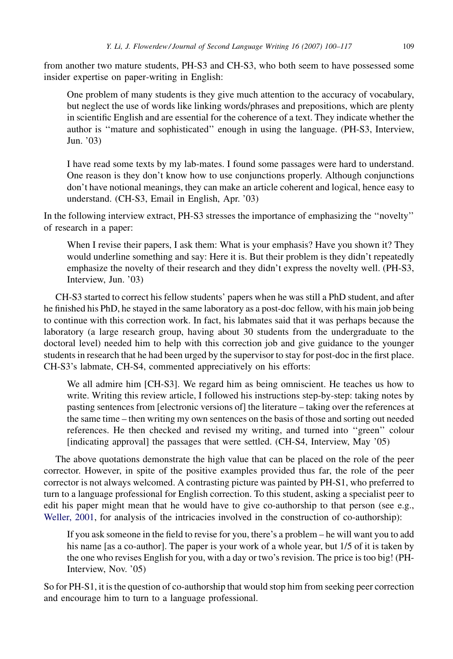from another two mature students, PH-S3 and CH-S3, who both seem to have possessed some insider expertise on paper-writing in English:

One problem of many students is they give much attention to the accuracy of vocabulary, but neglect the use of words like linking words/phrases and prepositions, which are plenty in scientific English and are essential for the coherence of a text. They indicate whether the author is ''mature and sophisticated'' enough in using the language. (PH-S3, Interview, Jun. '03)

I have read some texts by my lab-mates. I found some passages were hard to understand. One reason is they don't know how to use conjunctions properly. Although conjunctions don't have notional meanings, they can make an article coherent and logical, hence easy to understand. (CH-S3, Email in English, Apr. '03)

In the following interview extract, PH-S3 stresses the importance of emphasizing the ''novelty'' of research in a paper:

When I revise their papers, I ask them: What is your emphasis? Have you shown it? They would underline something and say: Here it is. But their problem is they didn't repeatedly emphasize the novelty of their research and they didn't express the novelty well. (PH-S3, Interview, Jun. '03)

CH-S3 started to correct his fellow students' papers when he was still a PhD student, and after he finished his PhD, he stayed in the same laboratory as a post-doc fellow, with his main job being to continue with this correction work. In fact, his labmates said that it was perhaps because the laboratory (a large research group, having about 30 students from the undergraduate to the doctoral level) needed him to help with this correction job and give guidance to the younger students in research that he had been urged by the supervisor to stay for post-doc in the first place. CH-S3's labmate, CH-S4, commented appreciatively on his efforts:

We all admire him [CH-S3]. We regard him as being omniscient. He teaches us how to write. Writing this review article, I followed his instructions step-by-step: taking notes by pasting sentences from [electronic versions of] the literature – taking over the references at the same time – then writing my own sentences on the basis of those and sorting out needed references. He then checked and revised my writing, and turned into ''green'' colour [indicating approval] the passages that were settled. (CH-S4, Interview, May '05)

The above quotations demonstrate the high value that can be placed on the role of the peer corrector. However, in spite of the positive examples provided thus far, the role of the peer corrector is not always welcomed. A contrasting picture was painted by PH-S1, who preferred to turn to a language professional for English correction. To this student, asking a specialist peer to edit his paper might mean that he would have to give co-authorship to that person (see e.g., [Weller, 2001](#page-16-0), for analysis of the intricacies involved in the construction of co-authorship):

If you ask someone in the field to revise for you, there's a problem – he will want you to add his name [as a co-author]. The paper is your work of a whole year, but 1/5 of it is taken by the one who revises English for you, with a day or two's revision. The price is too big! (PH-Interview, Nov. '05)

So for PH-S1, it is the question of co-authorship that would stop him from seeking peer correction and encourage him to turn to a language professional.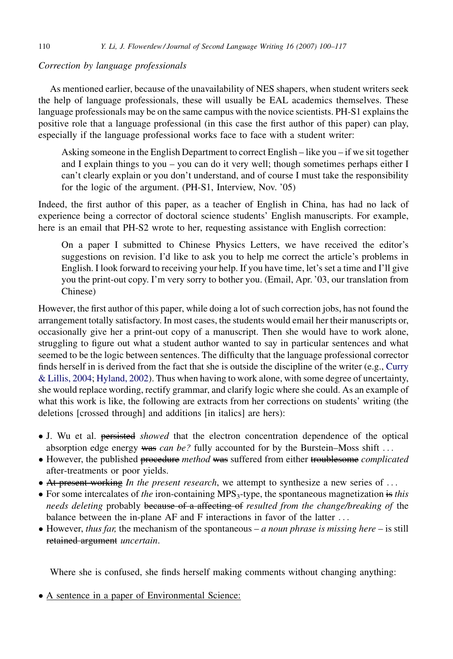## Correction by language professionals

As mentioned earlier, because of the unavailability of NES shapers, when student writers seek the help of language professionals, these will usually be EAL academics themselves. These language professionals may be on the same campus with the novice scientists. PH-S1 explains the positive role that a language professional (in this case the first author of this paper) can play, especially if the language professional works face to face with a student writer:

Asking someone in the English Department to correct English – like you – if we sit together and I explain things to you – you can do it very well; though sometimes perhaps either I can't clearly explain or you don't understand, and of course I must take the responsibility for the logic of the argument. (PH-S1, Interview, Nov. '05)

Indeed, the first author of this paper, as a teacher of English in China, has had no lack of experience being a corrector of doctoral science students' English manuscripts. For example, here is an email that PH-S2 wrote to her, requesting assistance with English correction:

On a paper I submitted to Chinese Physics Letters, we have received the editor's suggestions on revision. I'd like to ask you to help me correct the article's problems in English. I look forward to receiving your help. If you have time, let's set a time and I'll give you the print-out copy. I'm very sorry to bother you. (Email, Apr. '03, our translation from Chinese)

However, the first author of this paper, while doing a lot of such correction jobs, has not found the arrangement totally satisfactory. In most cases, the students would email her their manuscripts or, occasionally give her a print-out copy of a manuscript. Then she would have to work alone, struggling to figure out what a student author wanted to say in particular sentences and what seemed to be the logic between sentences. The difficulty that the language professional corrector finds herself in is derived from the fact that she is outside the discipline of the writer (e.g., [Curry](#page-15-0) [& Lillis, 2004;](#page-15-0) [Hyland, 2002\)](#page-15-0). Thus when having to work alone, with some degree of uncertainty, she would replace wording, rectify grammar, and clarify logic where she could. As an example of what this work is like, the following are extracts from her corrections on students' writing (the deletions [crossed through] and additions [in italics] are hers):

- J. Wu et al. **persisted** *showed* that the electron concentration dependence of the optical absorption edge energy was can be? fully accounted for by the Burstein–Moss shift ...
- However, the published procedure method was suffered from either troublesome complicated after-treatments or poor yields.
- At present working In the present research, we attempt to synthesize a new series of ...
- For some intercalates of the iron-containing  $MPS_3$ -type, the spontaneous magnetization is this needs deleting probably because of a affecting of resulted from the change/breaking of the balance between the in-plane AF and F interactions in favor of the latter ...
- However, thus far, the mechanism of the spontaneous a noun phrase is missing here is still retained argument uncertain.

Where she is confused, she finds herself making comments without changing anything:

• A sentence in a paper of Environmental Science: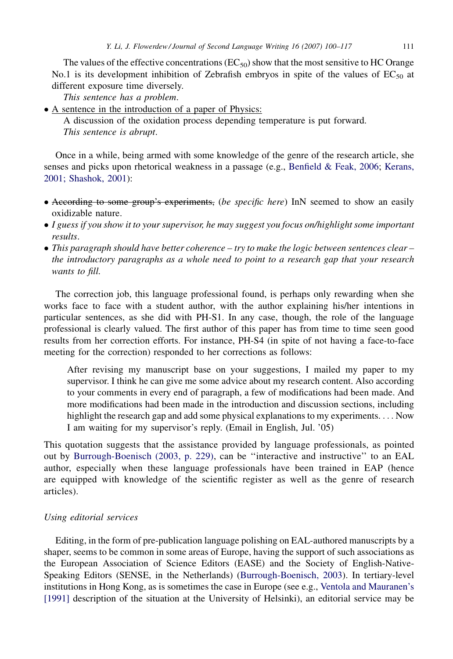The values of the effective concentrations  $(EC_{50})$  show that the most sensitive to HC Orange No.1 is its development inhibition of Zebrafish embryos in spite of the values of  $EC_{50}$  at different exposure time diversely.

This sentence has a problem.

• A sentence in the introduction of a paper of Physics:

A discussion of the oxidation process depending temperature is put forward. This sentence is abrupt.

Once in a while, being armed with some knowledge of the genre of the research article, she senses and picks upon rhetorical weakness in a passage (e.g., [Benfield & Feak, 2006](#page-15-0); [Kerans,](#page-16-0) [2001; Shashok, 2001](#page-16-0)):

- According to some group's experiments, (be specific here) InN seemed to show an easily oxidizable nature.
- I guess if you show it to your supervisor, he may suggest you focus on/highlight some important results.
- This paragraph should have better coherence try to make the logic between sentences clear the introductory paragraphs as a whole need to point to a research gap that your research wants to fill.

The correction job, this language professional found, is perhaps only rewarding when she works face to face with a student author, with the author explaining his/her intentions in particular sentences, as she did with PH-S1. In any case, though, the role of the language professional is clearly valued. The first author of this paper has from time to time seen good results from her correction efforts. For instance, PH-S4 (in spite of not having a face-to-face meeting for the correction) responded to her corrections as follows:

After revising my manuscript base on your suggestions, I mailed my paper to my supervisor. I think he can give me some advice about my research content. Also according to your comments in every end of paragraph, a few of modifications had been made. And more modifications had been made in the introduction and discussion sections, including highlight the research gap and add some physical explanations to my experiments. ... Now I am waiting for my supervisor's reply. (Email in English, Jul. '05)

This quotation suggests that the assistance provided by language professionals, as pointed out by [Burrough-Boenisch \(2003, p. 229\),](#page-15-0) can be ''interactive and instructive'' to an EAL author, especially when these language professionals have been trained in EAP (hence are equipped with knowledge of the scientific register as well as the genre of research articles).

## Using editorial services

Editing, in the form of pre-publication language polishing on EAL-authored manuscripts by a shaper, seems to be common in some areas of Europe, having the support of such associations as the European Association of Science Editors (EASE) and the Society of English-Native-Speaking Editors (SENSE, in the Netherlands) [\(Burrough-Boenisch, 2003\)](#page-15-0). In tertiary-level institutions in Hong Kong, as is sometimes the case in Europe (see e.g., [Ventola and Mauranen's](#page-16-0) [\[1991\]](#page-16-0) description of the situation at the University of Helsinki), an editorial service may be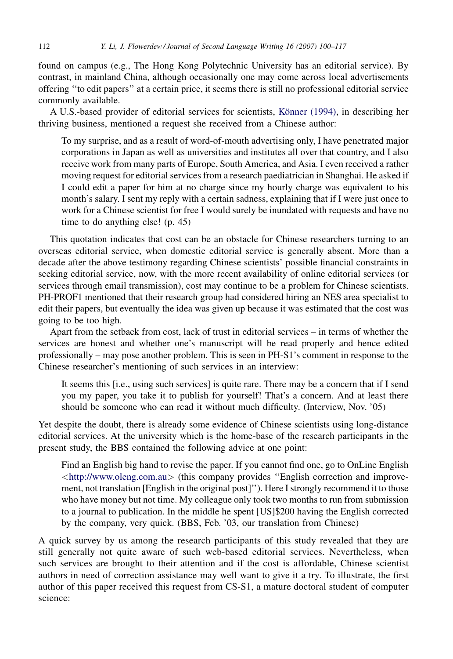found on campus (e.g., The Hong Kong Polytechnic University has an editorial service). By contrast, in mainland China, although occasionally one may come across local advertisements offering ''to edit papers'' at a certain price, it seems there is still no professional editorial service commonly available.

A U.S.-based provider of editorial services for scientists, Könner (1994), in describing her thriving business, mentioned a request she received from a Chinese author:

To my surprise, and as a result of word-of-mouth advertising only, I have penetrated major corporations in Japan as well as universities and institutes all over that country, and I also receive work from many parts of Europe, South America, and Asia. I even received a rather moving request for editorial services from a research paediatrician in Shanghai. He asked if I could edit a paper for him at no charge since my hourly charge was equivalent to his month's salary. I sent my reply with a certain sadness, explaining that if I were just once to work for a Chinese scientist for free I would surely be inundated with requests and have no time to do anything else! (p. 45)

This quotation indicates that cost can be an obstacle for Chinese researchers turning to an overseas editorial service, when domestic editorial service is generally absent. More than a decade after the above testimony regarding Chinese scientists' possible financial constraints in seeking editorial service, now, with the more recent availability of online editorial services (or services through email transmission), cost may continue to be a problem for Chinese scientists. PH-PROF1 mentioned that their research group had considered hiring an NES area specialist to edit their papers, but eventually the idea was given up because it was estimated that the cost was going to be too high.

Apart from the setback from cost, lack of trust in editorial services – in terms of whether the services are honest and whether one's manuscript will be read properly and hence edited professionally – may pose another problem. This is seen in PH-S1's comment in response to the Chinese researcher's mentioning of such services in an interview:

It seems this [i.e., using such services] is quite rare. There may be a concern that if I send you my paper, you take it to publish for yourself! That's a concern. And at least there should be someone who can read it without much difficulty. (Interview, Nov. '05)

Yet despite the doubt, there is already some evidence of Chinese scientists using long-distance editorial services. At the university which is the home-base of the research participants in the present study, the BBS contained the following advice at one point:

Find an English big hand to revise the paper. If you cannot find one, go to OnLine English <[http://www.oleng.com.au](http://www.oleng.com.au/)> (this company provides ''English correction and improvement, not translation [English in the original post]''). Here I strongly recommend it to those who have money but not time. My colleague only took two months to run from submission to a journal to publication. In the middle he spent [US]\$200 having the English corrected by the company, very quick. (BBS, Feb. '03, our translation from Chinese)

A quick survey by us among the research participants of this study revealed that they are still generally not quite aware of such web-based editorial services. Nevertheless, when such services are brought to their attention and if the cost is affordable, Chinese scientist authors in need of correction assistance may well want to give it a try. To illustrate, the first author of this paper received this request from CS-S1, a mature doctoral student of computer science: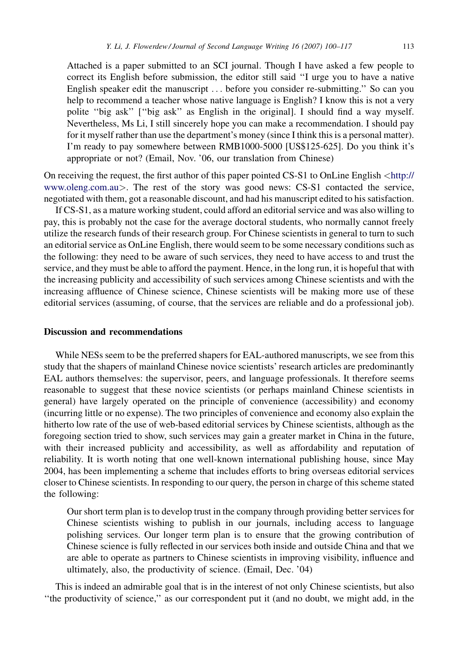Attached is a paper submitted to an SCI journal. Though I have asked a few people to correct its English before submission, the editor still said ''I urge you to have a native English speaker edit the manuscript ... before you consider re-submitting.'' So can you help to recommend a teacher whose native language is English? I know this is not a very polite ''big ask'' [''big ask'' as English in the original]. I should find a way myself. Nevertheless, Ms Li, I still sincerely hope you can make a recommendation. I should pay for it myself rather than use the department's money (since I think this is a personal matter). I'm ready to pay somewhere between RMB1000-5000 [US\$125-625]. Do you think it's appropriate or not? (Email, Nov. '06, our translation from Chinese)

On receiving the request, the first author of this paper pointed CS-S1 to OnLine English <[http://](http://www.oleng.com.au/) [www.oleng.com.au](http://www.oleng.com.au/)>. The rest of the story was good news: CS-S1 contacted the service, negotiated with them, got a reasonable discount, and had his manuscript edited to his satisfaction.

If CS-S1, as a mature working student, could afford an editorial service and was also willing to pay, this is probably not the case for the average doctoral students, who normally cannot freely utilize the research funds of their research group. For Chinese scientists in general to turn to such an editorial service as OnLine English, there would seem to be some necessary conditions such as the following: they need to be aware of such services, they need to have access to and trust the service, and they must be able to afford the payment. Hence, in the long run, it is hopeful that with the increasing publicity and accessibility of such services among Chinese scientists and with the increasing affluence of Chinese science, Chinese scientists will be making more use of these editorial services (assuming, of course, that the services are reliable and do a professional job).

#### Discussion and recommendations

While NESs seem to be the preferred shapers for EAL-authored manuscripts, we see from this study that the shapers of mainland Chinese novice scientists' research articles are predominantly EAL authors themselves: the supervisor, peers, and language professionals. It therefore seems reasonable to suggest that these novice scientists (or perhaps mainland Chinese scientists in general) have largely operated on the principle of convenience (accessibility) and economy (incurring little or no expense). The two principles of convenience and economy also explain the hitherto low rate of the use of web-based editorial services by Chinese scientists, although as the foregoing section tried to show, such services may gain a greater market in China in the future, with their increased publicity and accessibility, as well as affordability and reputation of reliability. It is worth noting that one well-known international publishing house, since May 2004, has been implementing a scheme that includes efforts to bring overseas editorial services closer to Chinese scientists. In responding to our query, the person in charge of this scheme stated the following:

Our short term plan is to develop trust in the company through providing better services for Chinese scientists wishing to publish in our journals, including access to language polishing services. Our longer term plan is to ensure that the growing contribution of Chinese science is fully reflected in our services both inside and outside China and that we are able to operate as partners to Chinese scientists in improving visibility, influence and ultimately, also, the productivity of science. (Email, Dec. '04)

This is indeed an admirable goal that is in the interest of not only Chinese scientists, but also ''the productivity of science,'' as our correspondent put it (and no doubt, we might add, in the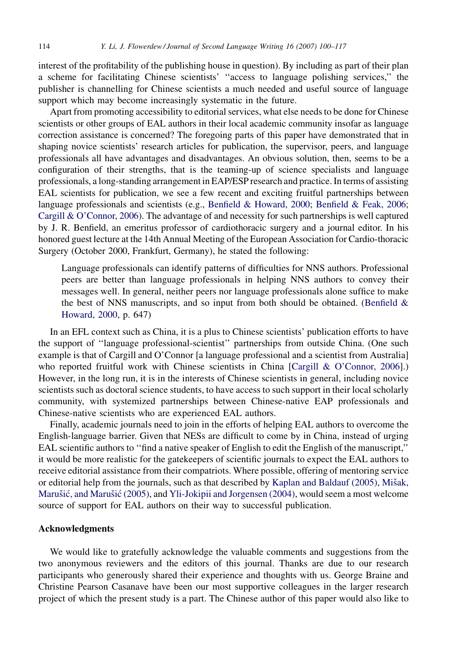interest of the profitability of the publishing house in question). By including as part of their plan a scheme for facilitating Chinese scientists' ''access to language polishing services,'' the publisher is channelling for Chinese scientists a much needed and useful source of language support which may become increasingly systematic in the future.

Apart from promoting accessibility to editorial services, what else needs to be done for Chinese scientists or other groups of EAL authors in their local academic community insofar as language correction assistance is concerned? The foregoing parts of this paper have demonstrated that in shaping novice scientists' research articles for publication, the supervisor, peers, and language professionals all have advantages and disadvantages. An obvious solution, then, seems to be a configuration of their strengths, that is the teaming-up of science specialists and language professionals, a long-standing arrangement in EAP/ESP research and practice. In terms of assisting EAL scientists for publication, we see a few recent and exciting fruitful partnerships between language professionals and scientists (e.g., [Benfield & Howard, 2000](#page-15-0); [Benfield & Feak, 2006](#page-15-0); [Cargill & O'Connor, 2006](#page-15-0)). The advantage of and necessity for such partnerships is well captured by J. R. Benfield, an emeritus professor of cardiothoracic surgery and a journal editor. In his honored guest lecture at the 14th Annual Meeting of the European Association for Cardio-thoracic Surgery (October 2000, Frankfurt, Germany), he stated the following:

Language professionals can identify patterns of difficulties for NNS authors. Professional peers are better than language professionals in helping NNS authors to convey their messages well. In general, neither peers nor language professionals alone suffice to make the best of NNS manuscripts, and so input from both should be obtained. ([Benfield &](#page-15-0) [Howard, 2000](#page-15-0), p. 647)

In an EFL context such as China, it is a plus to Chinese scientists' publication efforts to have the support of ''language professional-scientist'' partnerships from outside China. (One such example is that of Cargill and O'Connor [a language professional and a scientist from Australia] who reported fruitful work with Chinese scientists in China [\[Cargill & O'Connor, 2006](#page-15-0)].) However, in the long run, it is in the interests of Chinese scientists in general, including novice scientists such as doctoral science students, to have access to such support in their local scholarly community, with systemized partnerships between Chinese-native EAP professionals and Chinese-native scientists who are experienced EAL authors.

Finally, academic journals need to join in the efforts of helping EAL authors to overcome the English-language barrier. Given that NESs are difficult to come by in China, instead of urging EAL scientific authors to ''find a native speaker of English to edit the English of the manuscript,'' it would be more realistic for the gatekeepers of scientific journals to expect the EAL authors to receive editorial assistance from their compatriots. Where possible, offering of mentoring service or editorial help from the journals, such as that described by [Kaplan and Baldauf \(2005\),](#page-15-0) Mišak, Marušić, and Marušić (2005), and [Yli-Jokipii and Jorgensen \(2004\),](#page-16-0) would seem a most welcome source of support for EAL authors on their way to successful publication.

### Acknowledgments

We would like to gratefully acknowledge the valuable comments and suggestions from the two anonymous reviewers and the editors of this journal. Thanks are due to our research participants who generously shared their experience and thoughts with us. George Braine and Christine Pearson Casanave have been our most supportive colleagues in the larger research project of which the present study is a part. The Chinese author of this paper would also like to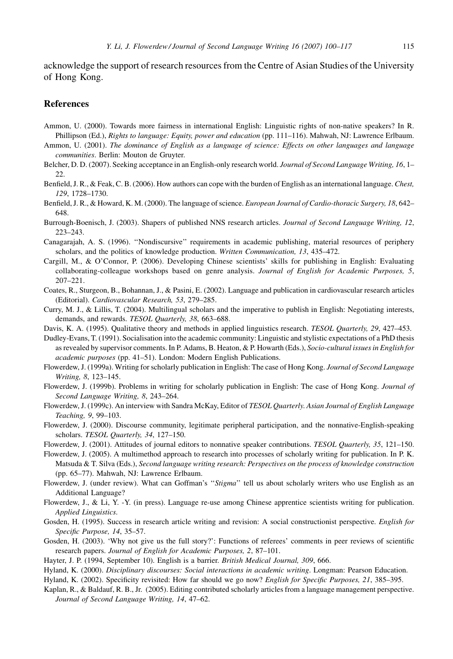<span id="page-15-0"></span>acknowledge the support of research resources from the Centre of Asian Studies of the University of Hong Kong.

#### References

- Ammon, U. (2000). Towards more fairness in international English: Linguistic rights of non-native speakers? In R. Phillipson (Ed.), Rights to language: Equity, power and education (pp. 111–116). Mahwah, NJ: Lawrence Erlbaum.
- Ammon, U. (2001). The dominance of English as a language of science: Effects on other languages and language communities. Berlin: Mouton de Gruyter.
- Belcher, D. D. (2007). Seeking acceptance in an English-only research world. Journal of Second Language Writing, 16, 1– 22.
- Benfield, J. R., & Feak, C. B. (2006). How authors can cope with the burden of English as an international language. Chest, 129, 1728–1730.
- Benfield, J. R., & Howard, K. M. (2000). The language of science. European Journal of Cardio-thoracic Surgery, 18, 642-648.
- Burrough-Boenisch, J. (2003). Shapers of published NNS research articles. Journal of Second Language Writing, 12, 223–243.
- Canagarajah, A. S. (1996). ''Nondiscursive'' requirements in academic publishing, material resources of periphery scholars, and the politics of knowledge production. Written Communication, 13, 435–472.
- Cargill, M., & O'Connor, P. (2006). Developing Chinese scientists' skills for publishing in English: Evaluating collaborating-colleague workshops based on genre analysis. Journal of English for Academic Purposes, 5, 207–221.
- Coates, R., Sturgeon, B., Bohannan, J., & Pasini, E. (2002). Language and publication in cardiovascular research articles (Editorial). Cardiovascular Research, 53, 279–285.
- Curry, M. J., & Lillis, T. (2004). Multilingual scholars and the imperative to publish in English: Negotiating interests, demands, and rewards. TESOL Quarterly, 38, 663–688.
- Davis, K. A. (1995). Qualitative theory and methods in applied linguistics research. TESOL Quarterly, 29, 427–453.
- Dudley-Evans, T. (1991). Socialisation into the academic community: Linguistic and stylistic expectations of a PhD thesis as revealed by supervisor comments. In P. Adams, B. Heaton, & P. Howarth (Eds.), Socio-cultural issues in English for academic purposes (pp. 41–51). London: Modern English Publications.
- Flowerdew, J. (1999a). Writing for scholarly publication in English: The case of Hong Kong. Journal of Second Language Writing, 8, 123–145.
- Flowerdew, J. (1999b). Problems in writing for scholarly publication in English: The case of Hong Kong. Journal of Second Language Writing, 8, 243–264.
- Flowerdew, J. (1999c). An interview with Sandra McKay, Editor of TESOL Quarterly. Asian Journal of English Language Teaching, 9, 99–103.
- Flowerdew, J. (2000). Discourse community, legitimate peripheral participation, and the nonnative-English-speaking scholars. TESOL Quarterly, 34, 127-150.
- Flowerdew, J. (2001). Attitudes of journal editors to nonnative speaker contributions. TESOL Quarterly, 35, 121-150.
- Flowerdew, J. (2005). A multimethod approach to research into processes of scholarly writing for publication. In P. K. Matsuda & T. Silva (Eds.), Second language writing research: Perspectives on the process of knowledge construction (pp. 65–77). Mahwah, NJ: Lawrence Erlbaum.
- Flowerdew, J. (under review). What can Goffman's "Stigma" tell us about scholarly writers who use English as an Additional Language?
- Flowerdew, J., & Li, Y. -Y. (in press). Language re-use among Chinese apprentice scientists writing for publication. Applied Linguistics.
- Gosden, H. (1995). Success in research article writing and revision: A social constructionist perspective. English for Specific Purpose, 14, 35–57.
- Gosden, H. (2003). 'Why not give us the full story?': Functions of referees' comments in peer reviews of scientific research papers. Journal of English for Academic Purposes, 2, 87–101.
- Hayter, J. P. (1994, September 10). English is a barrier. British Medical Journal, 309, 666.
- Hyland, K. (2000). Disciplinary discourses: Social interactions in academic writing. Longman: Pearson Education.
- Hyland, K. (2002). Specificity revisited: How far should we go now? English for Specific Purposes, 21, 385–395.
- Kaplan, R., & Baldauf, R. B., Jr. (2005). Editing contributed scholarly articles from a language management perspective. Journal of Second Language Writing, 14, 47–62.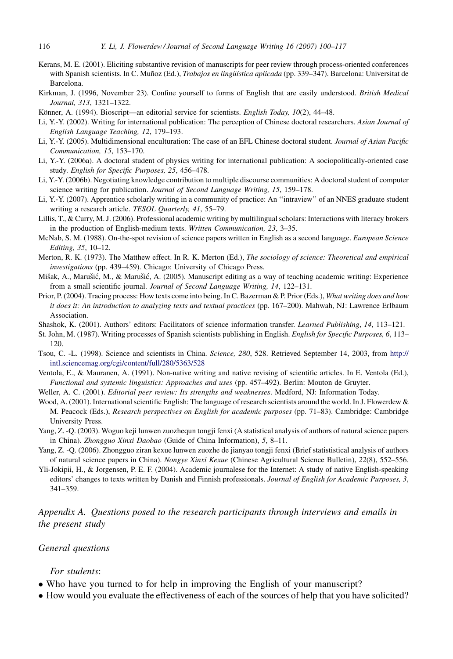- <span id="page-16-0"></span>Kerans, M. E. (2001). Eliciting substantive revision of manuscripts for peer review through process-oriented conferences with Spanish scientists. In C. Muñoz (Ed.), *Trabajos en lingüística aplicada* (pp. 339–347). Barcelona: Universitat de Barcelona.
- Kirkman, J. (1996, November 23). Confine yourself to forms of English that are easily understood. British Medical Journal, 313, 1321–1322.
- Könner, A. (1994). Bioscript—an editorial service for scientists. English Today, 10(2), 44–48.
- Li, Y.-Y. (2002). Writing for international publication: The perception of Chinese doctoral researchers. Asian Journal of English Language Teaching, 12, 179–193.
- Li, Y.-Y. (2005). Multidimensional enculturation: The case of an EFL Chinese doctoral student. Journal of Asian Pacific Communication, 15, 153–170.
- Li, Y.-Y. (2006a). A doctoral student of physics writing for international publication: A sociopolitically-oriented case study. English for Specific Purposes, 25, 456–478.
- Li, Y.-Y. (2006b). Negotiating knowledge contribution to multiple discourse communities: A doctoral student of computer science writing for publication. Journal of Second Language Writing, 15, 159-178.
- Li, Y.-Y. (2007). Apprentice scholarly writing in a community of practice: An ''intraview'' of an NNES graduate student writing a research article. TESOL Quarterly, 41, 55-79.
- Lillis, T., & Curry, M. J. (2006). Professional academic writing by multilingual scholars: Interactions with literacy brokers in the production of English-medium texts. Written Communication, 23, 3–35.
- McNab, S. M. (1988). On-the-spot revision of science papers written in English as a second language. European Science Editing, 35, 10–12.
- Merton, R. K. (1973). The Matthew effect. In R. K. Merton (Ed.), The sociology of science: Theoretical and empirical investigations (pp. 439–459). Chicago: University of Chicago Press.
- Mišak, A., Marušić, M., & Marušić, A. (2005). Manuscript editing as a way of teaching academic writing: Experience from a small scientific journal. Journal of Second Language Writing, 14, 122-131.
- Prior, P. (2004). Tracing process: How texts come into being. In C. Bazerman & P. Prior (Eds.), What writing does and how it does it: An introduction to analyzing texts and textual practices (pp. 167–200). Mahwah, NJ: Lawrence Erlbaum Association.
- Shashok, K. (2001). Authors' editors: Facilitators of science information transfer. Learned Publishing, 14, 113–121.
- St. John, M. (1987). Writing processes of Spanish scientists publishing in English. English for Specific Purposes, 6, 113– 120.
- Tsou, C. -L. (1998). Science and scientists in China. Science, 280, 528. Retrieved September 14, 2003, from [http://](http://intl.sciencemag.org/cgi/content/full/280/5363/528) [intl.sciencemag.org/cgi/content/full/280/5363/528](http://intl.sciencemag.org/cgi/content/full/280/5363/528)
- Ventola, E., & Mauranen, A. (1991). Non-native writing and native revising of scientific articles. In E. Ventola (Ed.), Functional and systemic linguistics: Approaches and uses (pp. 457–492). Berlin: Mouton de Gruyter.
- Weller, A. C. (2001). *Editorial peer review: Its strengths and weaknesses*. Medford, NJ: Information Today.
- Wood, A. (2001). International scientific English: The language of research scientists around the world. In J. Flowerdew & M. Peacock (Eds.), Research perspectives on English for academic purposes (pp. 71-83). Cambridge: Cambridge University Press.
- Yang, Z. -Q. (2003). Woguo keji lunwen zuozhequn tongji fenxi (A statistical analysis of authors of natural science papers in China). Zhongguo Xinxi Daobao (Guide of China Information), 5, 8–11.
- Yang, Z. -Q. (2006). Zhongguo ziran kexue lunwen zuozhe de jianyao tongji fenxi (Brief statististical analysis of authors of natural science papers in China). Nongye Xinxi Kexue (Chinese Agricultural Science Bulletin), 22(8), 552–556.
- Yli-Jokipii, H., & Jorgensen, P. E. F. (2004). Academic journalese for the Internet: A study of native English-speaking editors' changes to texts written by Danish and Finnish professionals. Journal of English for Academic Purposes, 3, 341–359.

Appendix A. Questions posed to the research participants through interviews and emails in the present study

#### General questions

### For students:

- Who have you turned to for help in improving the English of your manuscript?
- How would you evaluate the effectiveness of each of the sources of help that you have solicited?